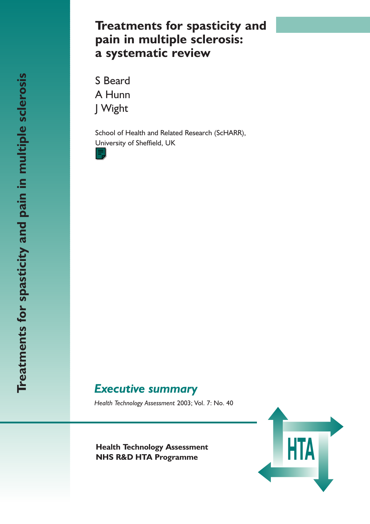# **Treatments for spasticity and pain in multiple sclerosis: a systematic review**

S Beard A Hunn J Wight

School of Health and Related Research (ScHARR), University of Sheffield, UK



# *Executive summary*

*Health Technology Assessment* 2003; Vol. 7: No. 40

**Health Technology Assessment**<br> **NHS R&D HTA Programme NHS R&D HTA Programme**

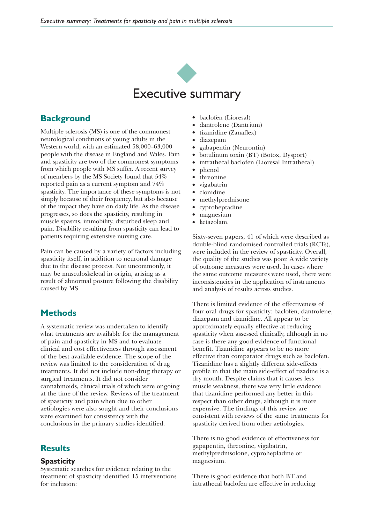

## **Background**

Multiple sclerosis (MS) is one of the commonest neurological conditions of young adults in the Western world, with an estimated 58,000–63,000 people with the disease in England and Wales. Pain and spasticity are two of the commonest symptoms from which people with MS suffer. A recent survey of members by the MS Society found that 54% reported pain as a current symptom and 74% spasticity. The importance of these symptoms is not simply because of their frequency, but also because of the impact they have on daily life. As the disease progresses, so does the spasticity, resulting in muscle spasms, immobility, disturbed sleep and pain. Disability resulting from spasticity can lead to patients requiring extensive nursing care.

Pain can be caused by a variety of factors including spasticity itself, in addition to neuronal damage due to the disease process. Not uncommonly, it may be musculoskeletal in origin, arising as a result of abnormal posture following the disability caused by MS.

### **Methods**

A systematic review was undertaken to identify what treatments are available for the management of pain and spasticity in MS and to evaluate clinical and cost effectiveness through assessment of the best available evidence. The scope of the review was limited to the consideration of drug treatments. It did not include non-drug therapy or surgical treatments. It did not consider cannabinoids, clinical trials of which were ongoing at the time of the review. Reviews of the treatment of spasticity and pain when due to other aetiologies were also sought and their conclusions were examined for consistency with the conclusions in the primary studies identified.

### **Results**

#### **Spasticity**

Systematic searches for evidence relating to the treatment of spasticity identified 15 interventions for inclusion:

- baclofen (Lioresal)
- dantrolene (Dantrium)
- tizanidine (Zanaflex)
- diazepam
- gabapentin (Neurontin)
- botulinum toxin (BT) (Botox, Dysport)
- intrathecal baclofen (Lioresal Intrathecal)
- phenol
- threonine
- vigabatrin
- clonidine
- methylprednisone
- cyproheptadine
- magnesium
- ketazolam.

Sixty-seven papers, 41 of which were described as double-blind randomised controlled trials (RCTs), were included in the review of spasticity. Overall, the quality of the studies was poor. A wide variety of outcome measures were used. In cases where the same outcome measures were used, there were inconsistencies in the application of instruments and analysis of results across studies.

There is limited evidence of the effectiveness of four oral drugs for spasticity: baclofen, dantrolene, diazepam and tizanidine. All appear to be approximately equally effective at reducing spasticity when assessed clinically, although in no case is there any good evidence of functional benefit. Tizanidine appears to be no more effective than comparator drugs such as baclofen. Tizanidine has a slightly different side-effects profile in that the main side-effect of tizadine is a dry mouth. Despite claims that it causes less muscle weakness, there was very little evidence that tizanidine performed any better in this respect than other drugs, although it is more expensive. The findings of this review are consistent with reviews of the same treatments for spasticity derived from other aetiologies.

There is no good evidence of effectiveness for gapapentin, threonine, vigabatrin, methylprednisolone, cyprohepladine or magnesium.

There is good evidence that both BT and intrathecal baclofen are effective in reducing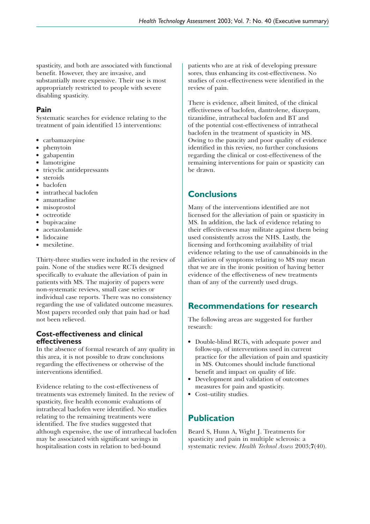spasticity, and both are associated with functional benefit. However, they are invasive, and substantially more expensive. Their use is most appropriately restricted to people with severe disabling spasticity.

### **Pain**

Systematic searches for evidence relating to the treatment of pain identified 15 interventions:

- carbamazepine
- phenytoin
- gabapentin
- lamotrigine
- tricyclic antidepressants
- steroids
- baclofen
- intrathecal baclofen
- amantadine
- misoprostol
- octreotide
- bupivacaine
- acetazolamide
- lidocaine
- mexiletine.

Thirty-three studies were included in the review of pain. None of the studies were RCTs designed specifically to evaluate the alleviation of pain in patients with MS. The majority of papers were non-systematic reviews, small case series or individual case reports. There was no consistency regarding the use of validated outcome measures. Most papers recorded only that pain had or had not been relieved.

#### **Cost-effectiveness and clinical effectiveness**

In the absence of formal research of any quality in this area, it is not possible to draw conclusions regarding the effectiveness or otherwise of the interventions identified.

Evidence relating to the cost-effectiveness of treatments was extremely limited. In the review of spasticity, five health economic evaluations of intrathecal baclofen were identified. No studies relating to the remaining treatments were identified. The five studies suggested that although expensive, the use of intrathecal baclofen may be associated with significant savings in hospitalisation costs in relation to bed-bound

patients who are at risk of developing pressure sores, thus enhancing its cost-effectiveness. No studies of cost-effectiveness were identified in the review of pain.

There is evidence, albeit limited, of the clinical effectiveness of baclofen, dantrolene, diazepam, tizanidine, intrathecal baclofen and BT and of the potential cost-effectiveness of intrathecal baclofen in the treatment of spasticity in MS. Owing to the paucity and poor quality of evidence identified in this review, no further conclusions regarding the clinical or cost-effectiveness of the remaining interventions for pain or spasticity can be drawn.

## **Conclusions**

Many of the interventions identified are not licensed for the alleviation of pain or spasticity in MS. In addition, the lack of evidence relating to their effectiveness may militate against them being used consistently across the NHS. Lastly, the licensing and forthcoming availability of trial evidence relating to the use of cannabinoids in the alleviation of symptoms relating to MS may mean that we are in the ironic position of having better evidence of the effectiveness of new treatments than of any of the currently used drugs.

## **Recommendations for research**

The following areas are suggested for further research:

- Double-blind RCTs, with adequate power and follow-up, of interventions used in current practice for the alleviation of pain and spasticity in MS. Outcomes should include functional benefit and impact on quality of life.
- Development and validation of outcomes measures for pain and spasticity.
- Cost–utility studies.

## **Publication**

Beard S, Hunn A, Wight J. Treatments for spasticity and pain in multiple sclerosis: a systematic review. *Health Technol Assess* 2003;**7**(40).